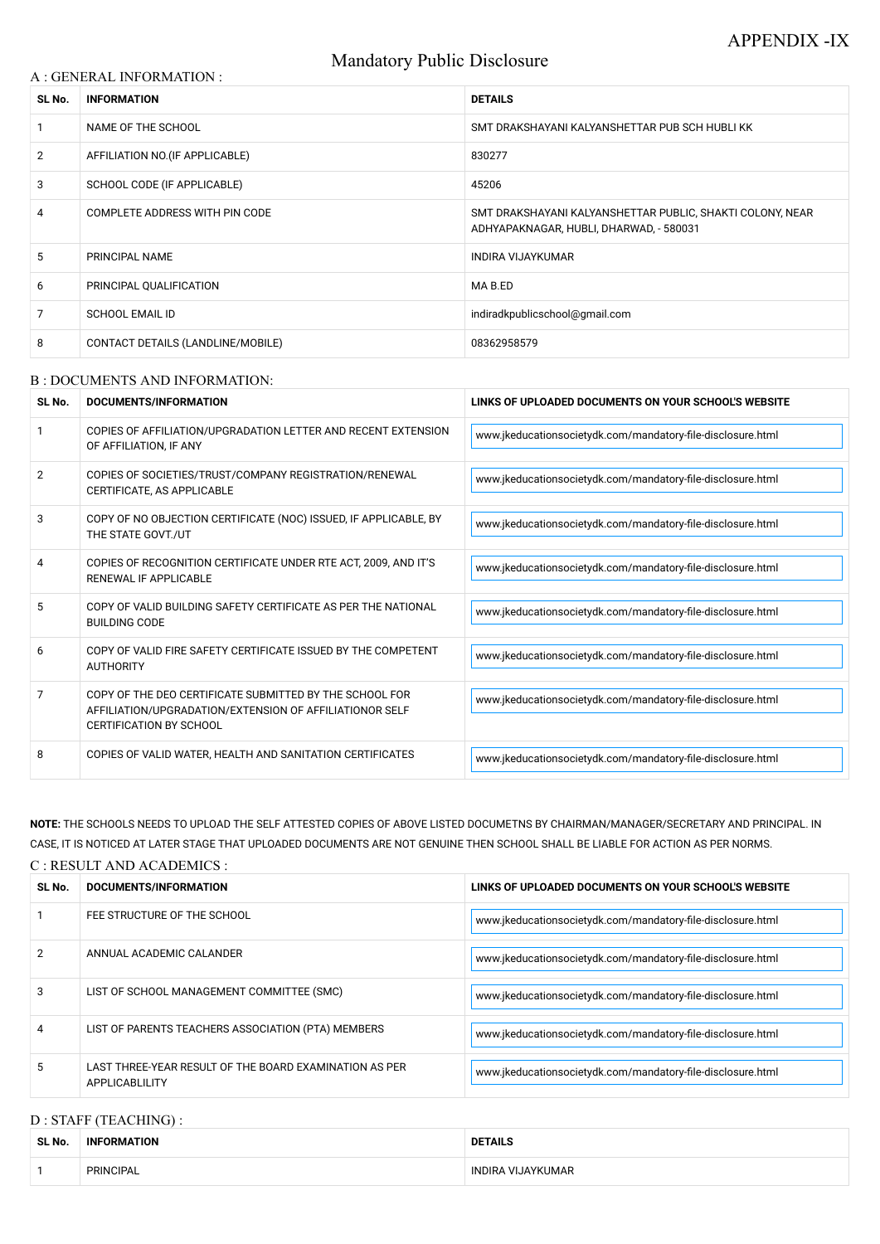# Mandatory Public Disclosure

#### A : GENERAL INFORMATION :

| SL No.         | <b>INFORMATION</b>                | <b>DETAILS</b>                                                                                       |  |
|----------------|-----------------------------------|------------------------------------------------------------------------------------------------------|--|
|                | NAME OF THE SCHOOL                | SMT DRAKSHAYANI KALYANSHETTAR PUB SCH HUBLI KK                                                       |  |
| $\overline{2}$ | AFFILIATION NO. (IF APPLICABLE)   | 830277                                                                                               |  |
| 3              | SCHOOL CODE (IF APPLICABLE)       | 45206                                                                                                |  |
| 4              | COMPLETE ADDRESS WITH PIN CODE    | SMT DRAKSHAYANI KALYANSHETTAR PUBLIC, SHAKTI COLONY, NEAR<br>ADHYAPAKNAGAR, HUBLI, DHARWAD, - 580031 |  |
| 5              | PRINCIPAL NAME                    | <b>INDIRA VIJAYKUMAR</b>                                                                             |  |
| 6              | PRINCIPAL QUALIFICATION           | MA B.ED                                                                                              |  |
| 7              | <b>SCHOOL EMAIL ID</b>            | indiradkpublicschool@gmail.com                                                                       |  |
| 8              | CONTACT DETAILS (LANDLINE/MOBILE) | 08362958579                                                                                          |  |

### B : DOCUMENTS AND INFORMATION:

| SL No.         | DOCUMENTS/INFORMATION                                                                                                                                | LINKS OF UPLOADED DOCUMENTS ON YOUR SCHOOL'S WEBSITE        |
|----------------|------------------------------------------------------------------------------------------------------------------------------------------------------|-------------------------------------------------------------|
|                | COPIES OF AFFILIATION/UPGRADATION LETTER AND RECENT EXTENSION<br>OF AFFILIATION, IF ANY                                                              | www.jkeducationsocietydk.com/mandatory-file-disclosure.html |
| $\overline{2}$ | COPIES OF SOCIETIES/TRUST/COMPANY REGISTRATION/RENEWAL<br>CERTIFICATE, AS APPLICABLE                                                                 | www.jkeducationsocietydk.com/mandatory-file-disclosure.html |
| 3              | COPY OF NO OBJECTION CERTIFICATE (NOC) ISSUED, IF APPLICABLE, BY<br>THE STATE GOVT./UT                                                               | www.jkeducationsocietydk.com/mandatory-file-disclosure.html |
| 4              | COPIES OF RECOGNITION CERTIFICATE UNDER RTE ACT, 2009, AND IT'S<br>RENEWAL IF APPLICABLE                                                             | www.jkeducationsocietydk.com/mandatory-file-disclosure.html |
| 5              | COPY OF VALID BUILDING SAFETY CERTIFICATE AS PER THE NATIONAL<br><b>BUILDING CODE</b>                                                                | www.jkeducationsocietydk.com/mandatory-file-disclosure.html |
| 6              | COPY OF VALID FIRE SAFETY CERTIFICATE ISSUED BY THE COMPETENT<br><b>AUTHORITY</b>                                                                    | www.jkeducationsocietydk.com/mandatory-file-disclosure.html |
| 7              | COPY OF THE DEO CERTIFICATE SUBMITTED BY THE SCHOOL FOR<br>AFFILIATION/UPGRADATION/EXTENSION OF AFFILIATIONOR SELF<br><b>CERTIFICATION BY SCHOOL</b> | www.jkeducationsocietydk.com/mandatory-file-disclosure.html |
| 8              | COPIES OF VALID WATER, HEALTH AND SANITATION CERTIFICATES                                                                                            | www.jkeducationsocietydk.com/mandatory-file-disclosure.html |

**NOTE:** THE SCHOOLS NEEDS TO UPLOAD THE SELF ATTESTED COPIES OF ABOVE LISTED DOCUMETNS BY CHAIRMAN/MANAGER/SECRETARY AND PRINCIPAL. IN CASE, IT IS NOTICED AT LATER STAGE THAT UPLOADED DOCUMENTS ARE NOT GENUINE THEN SCHOOL SHALL BE LIABLE FOR ACTION AS PER NORMS.

## C : RESULT AND ACADEMICS :

| SL No. | DOCUMENTS/INFORMATION       | LINKS OF UPLOADED DOCUMENTS ON YOUR SCHOOL'S WEBSITE        |
|--------|-----------------------------|-------------------------------------------------------------|
|        | FEE STRUCTURE OF THE SCHOOL | www.jkeducationsocietydk.com/mandatory-file-disclosure.html |

| 2              | ANNUAL ACADEMIC CALANDER                                                 | www.jkeducationsocietydk.com/mandatory-file-disclosure.html |
|----------------|--------------------------------------------------------------------------|-------------------------------------------------------------|
| 3              | LIST OF SCHOOL MANAGEMENT COMMITTEE (SMC)                                | www.jkeducationsocietydk.com/mandatory-file-disclosure.html |
| $\overline{4}$ | LIST OF PARENTS TEACHERS ASSOCIATION (PTA) MEMBERS                       | www.jkeducationsocietydk.com/mandatory-file-disclosure.html |
| 5              | LAST THREE-YEAR RESULT OF THE BOARD EXAMINATION AS PER<br>APPLICABLILITY | www.jkeducationsocietydk.com/mandatory-file-disclosure.html |

# D : STAFF (TEACHING) :

| SL No. | <b>INFORMATION</b> | <b>DETAILS</b>                     |  |
|--------|--------------------|------------------------------------|--|
|        | <b>PRINCIPAL</b>   | <b>VIJAYKUMAR</b><br><b>INDIRA</b> |  |